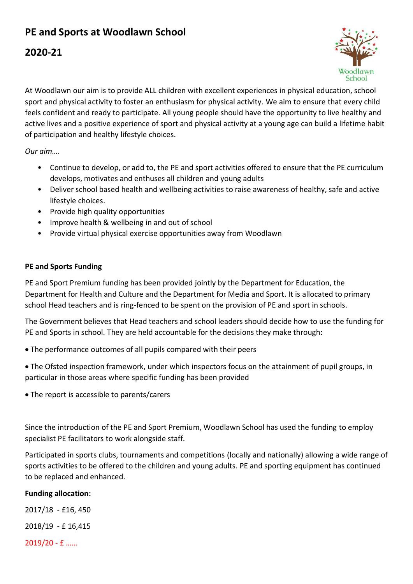# **PE and Sports at Woodlawn School**

## **2020-21**



At Woodlawn our aim is to provide ALL children with excellent experiences in physical education, school sport and physical activity to foster an enthusiasm for physical activity. We aim to ensure that every child feels confident and ready to participate. All young people should have the opportunity to live healthy and active lives and a positive experience of sport and physical activity at a young age can build a lifetime habit of participation and healthy lifestyle choices.

*Our aim….*

- Continue to develop, or add to, the PE and sport activities offered to ensure that the PE curriculum develops, motivates and enthuses all children and young adults
- Deliver school based health and wellbeing activities to raise awareness of healthy, safe and active lifestyle choices.
- Provide high quality opportunities
- Improve health & wellbeing in and out of school
- Provide virtual physical exercise opportunities away from Woodlawn

#### **PE and Sports Funding**

PE and Sport Premium funding has been provided jointly by the Department for Education, the Department for Health and Culture and the Department for Media and Sport. It is allocated to primary school Head teachers and is ring-fenced to be spent on the provision of PE and sport in schools.

The Government believes that Head teachers and school leaders should decide how to use the funding for PE and Sports in school. They are held accountable for the decisions they make through:

- The performance outcomes of all pupils compared with their peers
- The Ofsted inspection framework, under which inspectors focus on the attainment of pupil groups, in particular in those areas where specific funding has been provided
- The report is accessible to parents/carers

Since the introduction of the PE and Sport Premium, Woodlawn School has used the funding to employ specialist PE facilitators to work alongside staff.

Participated in sports clubs, tournaments and competitions (locally and nationally) allowing a wide range of sports activities to be offered to the children and young adults. PE and sporting equipment has continued to be replaced and enhanced.

#### **Funding allocation:**

2017/18 - £16, 450 2018/19 - £ 16,415 2019/20 - £ ……